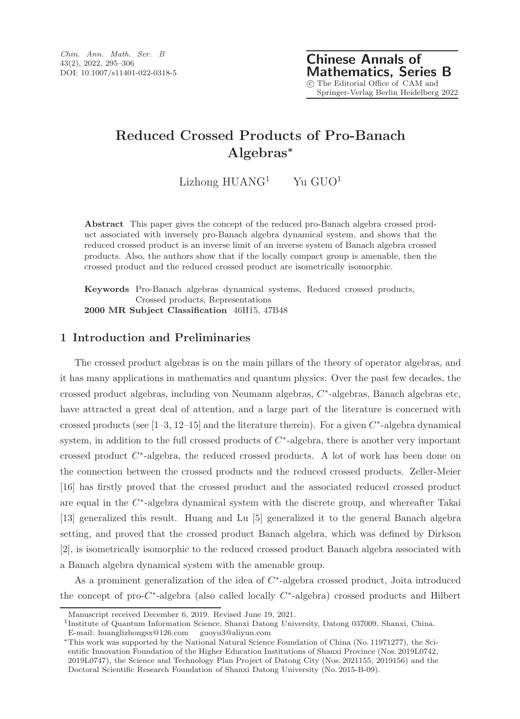# Reduced Crossed Products of Pro-Banach Algebras<sup>∗</sup>

Lizhong  $HUANG<sup>1</sup>$  Yu  $GUO<sup>1</sup>$ 

Abstract This paper gives the concept of the reduced pro-Banach algebra crossed product associated with inversely pro-Banach algebra dynamical system, and shows that the reduced crossed product is an inverse limit of an inverse system of Banach algebra crossed products. Also, the authors show that if the locally compact group is amenable, then the crossed product and the reduced crossed product are isometrically isomorphic.

Keywords Pro-Banach algebras dynamical systems, Reduced crossed products, Crossed products, Representations 2000 MR Subject Classification 46H15, 47B48

## 1 Introduction and Preliminaries

The crossed product algebras is on the main pillars of the theory of operator algebras, and it has many applications in mathematics and quantum physics. Over the past few decades, the crossed product algebras, including von Neumann algebras, C ∗ -algebras, Banach algebras etc, have attracted a great deal of attention, and a large part of the literature is concerned with crossed products (see  $[1-3, 12-15]$  and the literature therein). For a given  $C^*$ -algebra dynamical system, in addition to the full crossed products of  $C^*$ -algebra, there is another very important crossed product C<sup>\*</sup>-algebra, the reduced crossed products. A lot of work has been done on the connection between the crossed products and the reduced crossed products. Zeller-Meier [16] has firstly proved that the crossed product and the associated reduced crossed product are equal in the C<sup>\*</sup>-algebra dynamical system with the discrete group, and whereafter Takai [13] generalized this result. Huang and Lu [5] generalized it to the general Banach algebra setting, and proved that the crossed product Banach algebra, which was defined by Dirkson [2], is isometrically isomorphic to the reduced crossed product Banach algebra associated with a Banach algebra dynamical system with the amenable group.

As a prominent generalization of the idea of  $C^*$ -algebra crossed product, Joita introduced the concept of pro- $C^*$ -algebra (also called locally  $C^*$ -algebra) crossed products and Hilbert

Manuscript received December 6, 2019. Revised June 19, 2021.

<sup>&</sup>lt;sup>1</sup>Institute of Quantum Information Science, Shanxi Datong University, Datong 037009, Shanxi, China. E-mail: huanglizhongsx@126.com guoyu3@aliyun.com

<sup>∗</sup>This work was supported by the National Natural Science Foundation of China (No. 11971277), the Scientific Innovation Foundation of the Higher Education Institutions of Shanxi Province (Nos. 2019L0742, 2019L0747), the Science and Technology Plan Project of Datong City (Nos. 2021155, 2019156) and the Doctoral Scientific Research Foundation of Shanxi Datong University (No. 2015-B-09).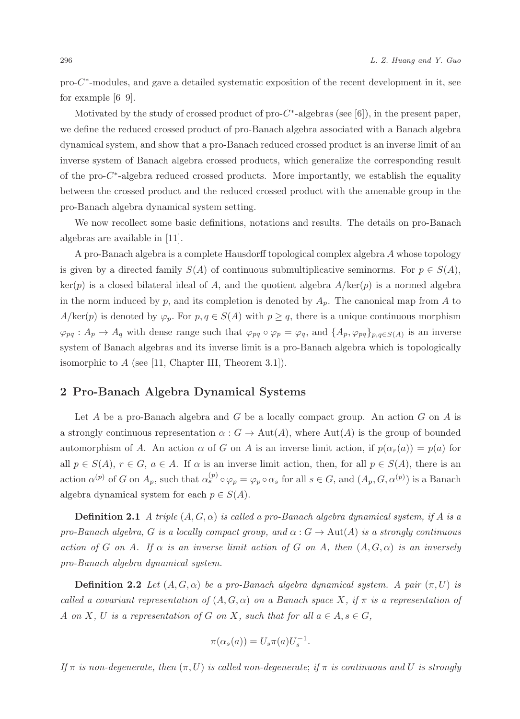pro-C<sup>\*</sup>-modules, and gave a detailed systematic exposition of the recent development in it, see for example [6–9].

Motivated by the study of crossed product of  $pro-C^*$ -algebras (see [6]), in the present paper, we define the reduced crossed product of pro-Banach algebra associated with a Banach algebra dynamical system, and show that a pro-Banach reduced crossed product is an inverse limit of an inverse system of Banach algebra crossed products, which generalize the corresponding result of the pro-C<sup>\*</sup>-algebra reduced crossed products. More importantly, we establish the equality between the crossed product and the reduced crossed product with the amenable group in the pro-Banach algebra dynamical system setting.

We now recollect some basic definitions, notations and results. The details on pro-Banach algebras are available in [11].

A pro-Banach algebra is a complete Hausdorff topological complex algebra A whose topology is given by a directed family  $S(A)$  of continuous submultiplicative seminorms. For  $p \in S(A)$ ,  $\ker(p)$  is a closed bilateral ideal of A, and the quotient algebra  $A/\ker(p)$  is a normed algebra in the norm induced by p, and its completion is denoted by  $A_p$ . The canonical map from A to  $A/\text{ker}(p)$  is denoted by  $\varphi_p$ . For  $p, q \in S(A)$  with  $p \geq q$ , there is a unique continuous morphism  $\varphi_{pq}: A_p \to A_q$  with dense range such that  $\varphi_{pq} \circ \varphi_p = \varphi_q$ , and  $\{A_p, \varphi_{pq}\}_{p,q \in S(A)}$  is an inverse system of Banach algebras and its inverse limit is a pro-Banach algebra which is topologically isomorphic to  $A$  (see [11, Chapter III, Theorem 3.1]).

### 2 Pro-Banach Algebra Dynamical Systems

Let A be a pro-Banach algebra and  $G$  be a locally compact group. An action  $G$  on  $A$  is a strongly continuous representation  $\alpha: G \to \text{Aut}(A)$ , where  $\text{Aut}(A)$  is the group of bounded automorphism of A. An action  $\alpha$  of G on A is an inverse limit action, if  $p(\alpha_r(a)) = p(a)$  for all  $p \in S(A)$ ,  $r \in G$ ,  $a \in A$ . If  $\alpha$  is an inverse limit action, then, for all  $p \in S(A)$ , there is an action  $\alpha^{(p)}$  of G on  $A_p$ , such that  $\alpha_s^{(p)} \circ \varphi_p = \varphi_p \circ \alpha_s$  for all  $s \in G$ , and  $(A_p, G, \alpha^{(p)})$  is a Banach algebra dynamical system for each  $p \in S(A)$ .

**Definition 2.1** A triple  $(A, G, \alpha)$  is called a pro-Banach algebra dynamical system, if A is a pro-Banach algebra, G is a locally compact group, and  $\alpha$ :  $G \to Aut(A)$  is a strongly continuous action of G on A. If  $\alpha$  is an inverse limit action of G on A, then  $(A, G, \alpha)$  is an inversely pro-Banach algebra dynamical system.

**Definition 2.2** Let  $(A, G, \alpha)$  be a pro-Banach algebra dynamical system. A pair  $(\pi, U)$  is called a covariant representation of  $(A, G, \alpha)$  on a Banach space X, if  $\pi$  is a representation of A on X, U is a representation of G on X, such that for all  $a \in A$ ,  $s \in G$ ,

$$
\pi(\alpha_s(a)) = U_s \pi(a) U_s^{-1}.
$$

If  $\pi$  is non-degenerate, then  $(\pi, U)$  is called non-degenerate; if  $\pi$  is continuous and U is strongly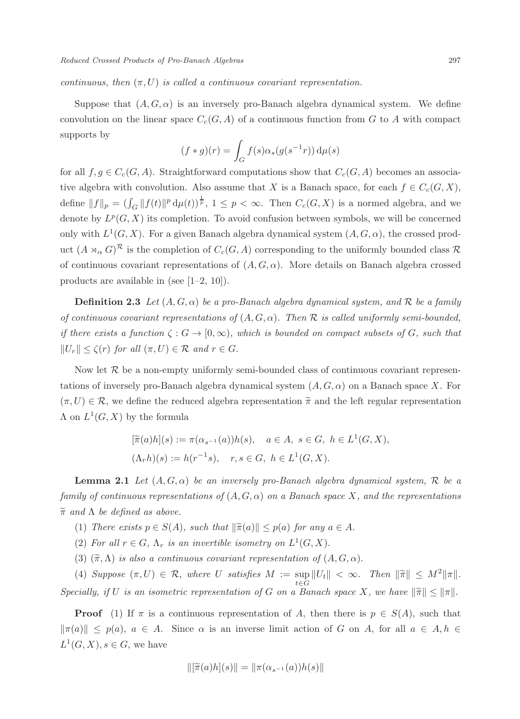continuous, then  $(\pi, U)$  is called a continuous covariant representation.

Suppose that  $(A, G, \alpha)$  is an inversely pro-Banach algebra dynamical system. We define convolution on the linear space  $C_c(G, A)$  of a continuous function from G to A with compact supports by

$$
(f * g)(r) = \int_G f(s)\alpha_s(g(s^{-1}r)) d\mu(s)
$$

for all  $f, g \in C_c(G, A)$ . Straightforward computations show that  $C_c(G, A)$  becomes an associative algebra with convolution. Also assume that X is a Banach space, for each  $f \in C_c(G, X)$ , define  $||f||_p = (\int_G ||f(t)||^p d\mu(t))^{\frac{1}{p}}, 1 \leq p < \infty$ . Then  $C_c(G, X)$  is a normed algebra, and we denote by  $L^p(G, X)$  its completion. To avoid confusion between symbols, we will be concerned only with  $L^1(G, X)$ . For a given Banach algebra dynamical system  $(A, G, \alpha)$ , the crossed product  $(A \rtimes_{\alpha} G)^{\mathcal{R}}$  is the completion of  $C_c(G, A)$  corresponding to the uniformly bounded class  $\mathcal{R}$ of continuous covariant representations of  $(A, G, \alpha)$ . More details on Banach algebra crossed products are available in (see [1–2, 10]).

**Definition 2.3** Let  $(A, G, \alpha)$  be a pro-Banach algebra dynamical system, and R be a family of continuous covariant representations of  $(A, G, \alpha)$ . Then  $\mathcal R$  is called uniformly semi-bounded, if there exists a function  $\zeta: G \to [0,\infty)$ , which is bounded on compact subsets of G, such that  $||U_r|| \le \zeta(r)$  for all  $(\pi, U) \in \mathcal{R}$  and  $r \in G$ .

Now let  $\mathcal R$  be a non-empty uniformly semi-bounded class of continuous covariant representations of inversely pro-Banach algebra dynamical system  $(A, G, \alpha)$  on a Banach space X. For  $(\pi, U) \in \mathcal{R}$ , we define the reduced algebra representation  $\tilde{\pi}$  and the left regular representation  $\Lambda$  on  $L^1(G,X)$  by the formula

$$
[\tilde{\pi}(a)h](s) := \pi(\alpha_{s^{-1}}(a))h(s), \quad a \in A, \ s \in G, \ h \in L^1(G, X),
$$
  

$$
(\Lambda_r h)(s) := h(r^{-1}s), \quad r, s \in G, \ h \in L^1(G, X).
$$

**Lemma 2.1** Let  $(A, G, \alpha)$  be an inversely pro-Banach algebra dynamical system, R be a family of continuous representations of  $(A, G, \alpha)$  on a Banach space X, and the representations  $\widetilde{\pi}$  and  $\Lambda$  be defined as above.

- (1) There exists  $p \in S(A)$ , such that  $\|\tilde{\pi}(a)\| \leq p(a)$  for any  $a \in A$ .
- (2) For all  $r \in G$ ,  $\Lambda_r$  is an invertible isometry on  $L^1(G,X)$ .
- (3)  $(\widetilde{\pi}, \Lambda)$  is also a continuous covariant representation of  $(A, G, \alpha)$ .

(4) Suppose  $(\pi, U) \in \mathcal{R}$ , where U satisfies  $M := \sup_{t \in G} ||U_t|| < \infty$ . Then  $||\tilde{\pi}|| \leq M^2 ||\pi||$ . Specially, if U is an isometric representation of G on a Banach space X, we have  $\|\tilde{\pi}\| \leq \|\pi\|$ .

**Proof** (1) If  $\pi$  is a continuous representation of A, then there is  $p \in S(A)$ , such that  $\|\pi(a)\| \leq p(a), a \in A$ . Since  $\alpha$  is an inverse limit action of G on A, for all  $a \in A, h \in$  $L^1(G, X), s \in G$ , we have

$$
\|[\widetilde{\pi}(a)h](s)\| = \|\pi(\alpha_{s^{-1}}(a))h(s)\|
$$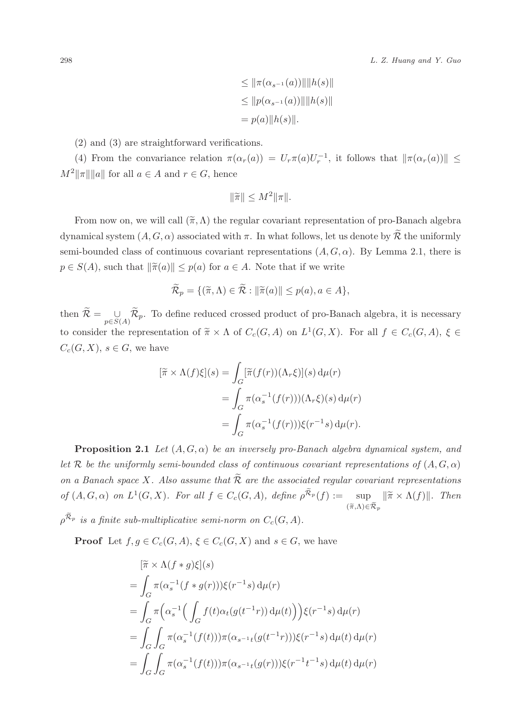$$
\leq \|\pi(\alpha_{s^{-1}}(a))\| \|h(s)\|
$$
  
\n
$$
\leq \|p(\alpha_{s^{-1}}(a))\| \|h(s)\|
$$
  
\n
$$
= p(a)\|h(s)\|.
$$

(2) and (3) are straightforward verifications.

(4) From the convariance relation  $\pi(\alpha_r(a)) = U_r \pi(a) U_r^{-1}$ , it follows that  $\|\pi(\alpha_r(a))\| \le$  $M^2\|\pi\|\|a\|$  for all  $a \in A$  and  $r \in G$ , hence

$$
\|\widetilde{\pi}\| \le M^2 \|\pi\|.
$$

From now on, we will call  $(\tilde{\pi}, \Lambda)$  the regular covariant representation of pro-Banach algebra dynamical system  $(A, G, \alpha)$  associated with  $\pi$ . In what follows, let us denote by  $\widetilde{\mathcal{R}}$  the uniformly semi-bounded class of continuous covariant representations  $(A, G, \alpha)$ . By Lemma 2.1, there is  $p \in S(A)$ , such that  $\|\tilde{\pi}(a)\| \leq p(a)$  for  $a \in A$ . Note that if we write

$$
\widetilde{\mathcal{R}}_p = \{ (\widetilde{\pi}, \Lambda) \in \widetilde{\mathcal{R}} : ||\widetilde{\pi}(a)|| \le p(a), a \in A \},\
$$

then  $\mathcal{R} = \bigcup_{p \in S(A)} \mathcal{R}_p$ . To define reduced crossed product of pro-Banach algebra, it is necessary to consider the representation of  $\widetilde{\pi} \times \Lambda$  of  $C_c(G, A)$  on  $L^1(G, X)$ . For all  $f \in C_c(G, A)$ ,  $\xi \in$  $C_c(G, X), s \in G$ , we have

$$
[\widetilde{\pi} \times \Lambda(f)\xi](s) = \int_G [\widetilde{\pi}(f(r))(\Lambda_r \xi)](s) d\mu(r)
$$
  
= 
$$
\int_G \pi(\alpha_s^{-1}(f(r)))(\Lambda_r \xi)(s) d\mu(r)
$$
  
= 
$$
\int_G \pi(\alpha_s^{-1}(f(r)))\xi(r^{-1}s) d\mu(r).
$$

**Proposition 2.1** Let  $(A, G, \alpha)$  be an inversely pro-Banach algebra dynamical system, and let R be the uniformly semi-bounded class of continuous covariant representations of  $(A, G, \alpha)$ on a Banach space X. Also assume that  $\overline{\mathcal{R}}$  are the associated regular covariant representations of  $(A, G, \alpha)$  on  $L^1(G,X)$ . For all  $f \in C_c(G, A)$ , define  $\rho^{\widetilde{\mathcal{R}}_p}(f) := \text{sup}$  $\sup_{(\widetilde{\pi}, \Lambda) \in \widetilde{\mathcal{R}}_p} \|\widetilde{\pi} \times \Lambda(f)\|.$  Then  $\rho^{\widetilde{\mathcal{R}}_p}$  is a finite sub-multiplicative semi-norm on  $C_c(G,A)$ .

**Proof** Let  $f, g \in C_c(G, A), \xi \in C_c(G, X)$  and  $s \in G$ , we have

$$
\begin{aligned}\n&[\widetilde{\pi} \times \Lambda(f * g)\xi](s) \\
&= \int_G \pi(\alpha_s^{-1}(f * g(r)))\xi(r^{-1}s) d\mu(r) \\
&= \int_G \pi\Big(\alpha_s^{-1}\Big(\int_G f(t)\alpha_t(g(t^{-1}r)) d\mu(t)\Big)\Big)\xi(r^{-1}s) d\mu(r) \\
&= \int_G \int_G \pi(\alpha_s^{-1}(f(t)))\pi(\alpha_{s^{-1}t}(g(t^{-1}r)))\xi(r^{-1}s) d\mu(t) d\mu(r) \\
&= \int_G \int_G \pi(\alpha_s^{-1}(f(t)))\pi(\alpha_{s^{-1}t}(g(r)))\xi(r^{-1}t^{-1}s) d\mu(t) d\mu(r)\n\end{aligned}
$$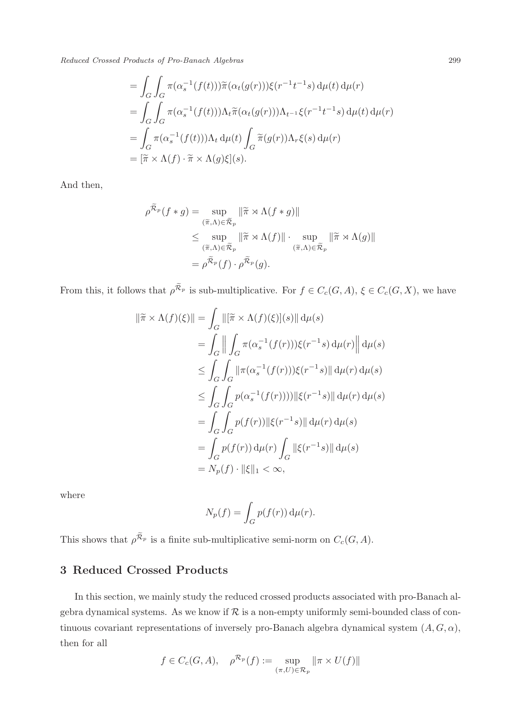Reduced Crossed Products of Pro-Banach Algebras 299

$$
= \int_G \int_G \pi(\alpha_s^{-1}(f(t))) \widetilde{\pi}(\alpha_t(g(r))) \xi(r^{-1}t^{-1}s) d\mu(t) d\mu(r)
$$
  
\n
$$
= \int_G \int_G \pi(\alpha_s^{-1}(f(t))) \Lambda_t \widetilde{\pi}(\alpha_t(g(r))) \Lambda_{t^{-1}} \xi(r^{-1}t^{-1}s) d\mu(t) d\mu(r)
$$
  
\n
$$
= \int_G \pi(\alpha_s^{-1}(f(t))) \Lambda_t d\mu(t) \int_G \widetilde{\pi}(g(r)) \Lambda_r \xi(s) d\mu(r)
$$
  
\n
$$
= [\widetilde{\pi} \times \Lambda(f) \cdot \widetilde{\pi} \times \Lambda(g)\xi](s).
$$

And then,

$$
\rho^{\widetilde{\mathcal{R}}_p}(f * g) = \sup_{(\widetilde{\pi}, \Lambda) \in \widetilde{\mathcal{R}}_p} \|\widetilde{\pi} \rtimes \Lambda(f * g)\|
$$
  

$$
\leq \sup_{(\widetilde{\pi}, \Lambda) \in \widetilde{\mathcal{R}}_p} \|\widetilde{\pi} \rtimes \Lambda(f)\| \cdot \sup_{(\widetilde{\pi}, \Lambda) \in \widetilde{\mathcal{R}}_p} \|\widetilde{\pi} \rtimes \Lambda(g)\|
$$
  

$$
= \rho^{\widetilde{\mathcal{R}}_p}(f) \cdot \rho^{\widetilde{\mathcal{R}}_p}(g).
$$

From this, it follows that  $\rho^{\tilde{\mathcal{R}}_p}$  is sub-multiplicative. For  $f \in C_c(G, A)$ ,  $\xi \in C_c(G, X)$ , we have

$$
\|\tilde{\pi} \times \Lambda(f)(\xi)\| = \int_G \|\tilde{f} \times \Lambda(f)(\xi)\|s\| \, d\mu(s)
$$
  
\n
$$
= \int_G \left\| \int_G \pi(\alpha_s^{-1}(f(r)))\xi(r^{-1}s) \, d\mu(r) \right\| d\mu(s)
$$
  
\n
$$
\leq \int_G \int_G \|\pi(\alpha_s^{-1}(f(r)))\xi(r^{-1}s)\| \, d\mu(r) \, d\mu(s)
$$
  
\n
$$
\leq \int_G \int_G p(\alpha_s^{-1}(f(r))))\|\xi(r^{-1}s)\| \, d\mu(r) \, d\mu(s)
$$
  
\n
$$
= \int_G \int_G p(f(r))\|\xi(r^{-1}s)\| \, d\mu(r) \, d\mu(s)
$$
  
\n
$$
= \int_G p(f(r)) \, d\mu(r) \int_G \|\xi(r^{-1}s)\| \, d\mu(s)
$$
  
\n
$$
= N_p(f) \cdot \|\xi\|_1 < \infty,
$$

where

$$
N_p(f) = \int_G p(f(r)) \, d\mu(r).
$$

This shows that  $\rho^{\widetilde{\mathcal{R}}_p}$  is a finite sub-multiplicative semi-norm on  $C_c(G, A)$ .

## 3 Reduced Crossed Products

In this section, we mainly study the reduced crossed products associated with pro-Banach algebra dynamical systems. As we know if  $R$  is a non-empty uniformly semi-bounded class of continuous covariant representations of inversely pro-Banach algebra dynamical system  $(A, G, \alpha)$ , then for all

$$
f \in C_c(G, A), \quad \rho^{\mathcal{R}_p}(f) := \sup_{(\pi, U) \in \mathcal{R}_p} ||\pi \times U(f)||
$$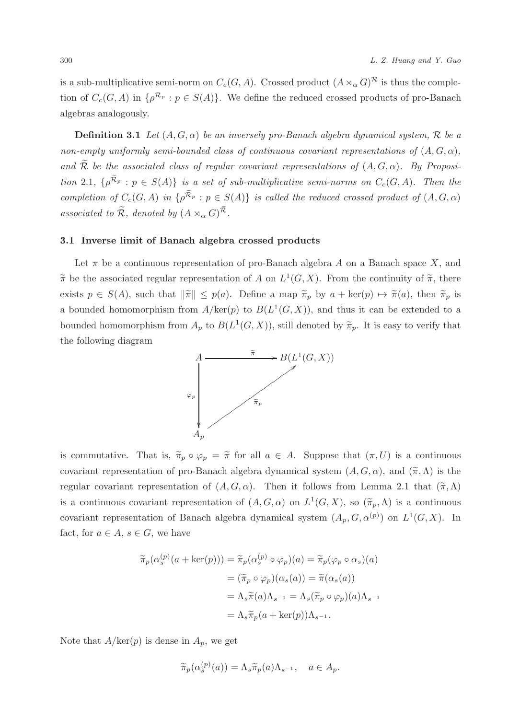is a sub-multiplicative semi-norm on  $C_c(G, A)$ . Crossed product  $(A \rtimes_{\alpha} G)^{\mathcal{R}}$  is thus the completion of  $C_c(G, A)$  in  $\{\rho^{\mathcal{R}_p} : p \in S(A)\}$ . We define the reduced crossed products of pro-Banach algebras analogously.

**Definition 3.1** Let  $(A, G, \alpha)$  be an inversely pro-Banach algebra dynamical system, R be a non-empty uniformly semi-bounded class of continuous covariant representations of  $(A, G, \alpha)$ , and  $\widetilde{\mathcal{R}}$  be the associated class of regular covariant representations of  $(A, G, \alpha)$ . By Proposition 2.1,  $\{\rho^{\widetilde{\mathcal{R}}_p} : p \in S(A)\}\$  is a set of sub-multiplicative semi-norms on  $C_c(G, A)$ . Then the completion of  $C_c(G, A)$  in  $\{\rho^{\widetilde{\mathcal{R}}_p} : p \in S(A)\}$  is called the reduced crossed product of  $(A, G, \alpha)$ associated to  $\widetilde{\mathcal{R}}$ , denoted by  $(A \rtimes_{\alpha} G)^{\widetilde{\mathcal{R}}}$ .

#### 3.1 Inverse limit of Banach algebra crossed products

Let  $\pi$  be a continuous representation of pro-Banach algebra A on a Banach space X, and  $\tilde{\pi}$  be the associated regular representation of A on  $L^1(G,X)$ . From the continuity of  $\tilde{\pi}$ , there exists  $p \in S(A)$ , such that  $\|\tilde{\pi}\| \leq p(a)$ . Define a map  $\tilde{\pi}_p$  by  $a + \text{ker}(p) \mapsto \tilde{\pi}(a)$ , then  $\tilde{\pi}_p$  is a bounded homomorphism from  $A/\text{ker}(p)$  to  $B(L^1(G,X))$ , and thus it can be extended to a bounded homomorphism from  $A_p$  to  $B(L^1(G,X))$ , still denoted by  $\widetilde{\pi}_p$ . It is easy to verify that the following diagram



is commutative. That is,  $\tilde{\pi}_p \circ \varphi_p = \tilde{\pi}$  for all  $a \in A$ . Suppose that  $(\pi, U)$  is a continuous covariant representation of pro-Banach algebra dynamical system  $(A, G, \alpha)$ , and  $(\tilde{\pi}, \Lambda)$  is the regular covariant representation of  $(A, G, \alpha)$ . Then it follows from Lemma 2.1 that  $(\tilde{\pi}, \Lambda)$ is a continuous covariant representation of  $(A, G, \alpha)$  on  $L^1(G, X)$ , so  $(\widetilde{\pi}_p, \Lambda)$  is a continuous covariant representation of Banach algebra dynamical system  $(A_p, G, \alpha^{(p)})$  on  $L^1(G, X)$ . In fact, for  $a \in A$ ,  $s \in G$ , we have

$$
\widetilde{\pi}_p(\alpha_s^{(p)}(a + \ker(p))) = \widetilde{\pi}_p(\alpha_s^{(p)} \circ \varphi_p)(a) = \widetilde{\pi}_p(\varphi_p \circ \alpha_s)(a)
$$

$$
= (\widetilde{\pi}_p \circ \varphi_p)(\alpha_s(a)) = \widetilde{\pi}(\alpha_s(a))
$$

$$
= \Lambda_s \widetilde{\pi}(a)\Lambda_{s^{-1}} = \Lambda_s(\widetilde{\pi}_p \circ \varphi_p)(a)\Lambda_{s^{-1}}
$$

$$
= \Lambda_s \widetilde{\pi}_p(a + \ker(p))\Lambda_{s^{-1}}.
$$

Note that  $A/\text{ker}(p)$  is dense in  $A_p$ , we get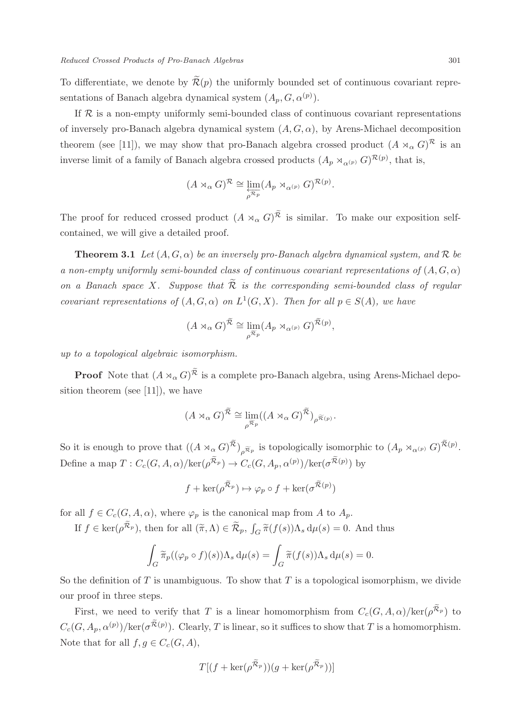To differentiate, we denote by  $\mathcal{R}(p)$  the uniformly bounded set of continuous covariant representations of Banach algebra dynamical system  $(A_p, G, \alpha^{(p)})$ .

If  $R$  is a non-empty uniformly semi-bounded class of continuous covariant representations of inversely pro-Banach algebra dynamical system  $(A, G, \alpha)$ , by Arens-Michael decomposition theorem (see [11]), we may show that pro-Banach algebra crossed product  $(A \rtimes_{\alpha} G)^{\mathcal{R}}$  is an inverse limit of a family of Banach algebra crossed products  $(A_p \rtimes_{\alpha^{(p)}} G)^{\mathcal{R}(p)}$ , that is,

$$
(A \rtimes_{\alpha} G)^{\mathcal{R}} \cong \varprojlim_{p \mathcal{R}_p} (A_p \rtimes_{\alpha^{(p)}} G)^{\mathcal{R}(p)}.
$$

The proof for reduced crossed product  $(A \rtimes_{\alpha} G)^{\widetilde{\mathcal{R}}}$  is similar. To make our exposition selfcontained, we will give a detailed proof.

**Theorem 3.1** Let  $(A, G, \alpha)$  be an inversely pro-Banach algebra dynamical system, and R be a non-empty uniformly semi-bounded class of continuous covariant representations of  $(A, G, \alpha)$ on a Banach space X. Suppose that  $\mathcal R$  is the corresponding semi-bounded class of regular covariant representations of  $(A, G, \alpha)$  on  $L^1(G, X)$ . Then for all  $p \in S(A)$ , we have

$$
(A\rtimes_{\alpha}G)^{\widetilde{\mathcal{R}}}\cong \lim_{\rho^{\widetilde{\mathcal{R}}_{p}}}(A_{p}\rtimes_{\alpha^{(p)}}G)^{\widetilde{\mathcal{R}}(p)},
$$

up to a topological algebraic isomorphism.

**Proof** Note that  $(A \rtimes_{\alpha} G)^{\widetilde{\mathcal{R}}}$  is a complete pro-Banach algebra, using Arens-Michael deposition theorem (see [11]), we have

$$
(A\rtimes_{\alpha}G)^{\widetilde{\mathcal{R}}}\cong \lim_{\rho^{\widetilde{\mathcal{R}}_{p}}}((A\rtimes_{\alpha}G)^{\widetilde{\mathcal{R}}})_{\rho^{\widetilde{\mathcal{R}}(p)}}.
$$

So it is enough to prove that  $((A \rtimes_{\alpha} G)^{\widetilde{\mathcal{R}}})_{\rho \widetilde{\mathcal{R}}_{p}}$  is topologically isomorphic to  $(A_p \rtimes_{\alpha^{(p)}} G)^{\widetilde{\mathcal{R}}(p)}$ . Define a map  $T: C_c(G, A, \alpha)/\text{ker}(\rho^{\widetilde{\mathcal{R}}_p}) \to C_c(G, A_p, \alpha^{(p)})/\text{ker}(\sigma^{\widetilde{\mathcal{R}}(p)})$  by

$$
f+\ker(\rho^{\widetilde{\mathcal{R}}_p})\mapsto \varphi_p\circ f+\ker(\sigma^{\widetilde{\mathcal{R}}(p)})
$$

for all  $f \in C_c(G, A, \alpha)$ , where  $\varphi_p$  is the canonical map from A to  $A_p$ .

If  $f \in \ker(\rho^{\tilde{\mathcal{R}}_p})$ , then for all  $(\tilde{\pi}, \Lambda) \in \tilde{\mathcal{R}}_p$ ,  $\int_G \tilde{\pi}(f(s)) \Lambda_s d\mu(s) = 0$ . And thus

$$
\int_G \widetilde{\pi}_p((\varphi_p \circ f)(s)) \Lambda_s d\mu(s) = \int_G \widetilde{\pi}(f(s)) \Lambda_s d\mu(s) = 0.
$$

So the definition of  $T$  is unambiguous. To show that  $T$  is a topological isomorphism, we divide our proof in three steps.

First, we need to verify that T is a linear homomorphism from  $C_c(G, A, \alpha)/\text{ker}(\rho^{\tilde{\mathcal{R}}_p})$  to  $C_c(G, A_p, \alpha^{(p)})/ker(\sigma^{\widetilde{\mathcal{R}}(p)})$ . Clearly, T is linear, so it suffices to show that T is a homomorphism. Note that for all  $f, g \in C_c(G, A)$ ,

$$
T[(f+\ker(\rho^{\widetilde{\mathcal{R}}_p}))(g+\ker(\rho^{\widetilde{\mathcal{R}}_p}))]
$$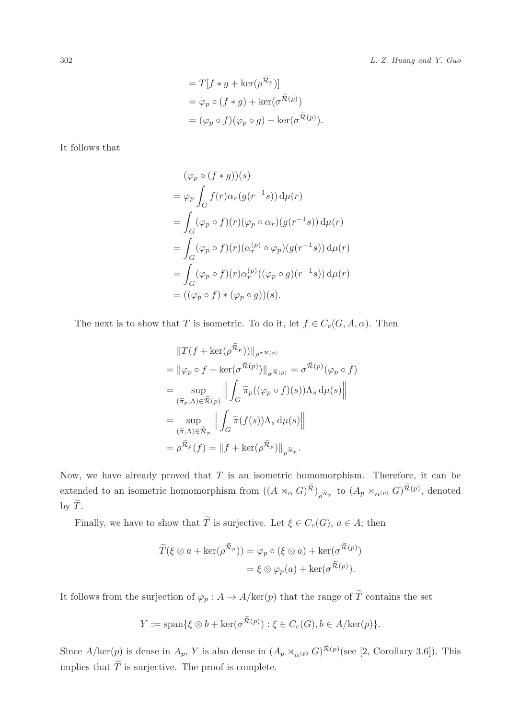= 
$$
T[f * g + \ker(\rho^{\widetilde{\mathcal{R}}_p})]
$$
  
=  $\varphi_p \circ (f * g) + \ker(\sigma^{\widetilde{\mathcal{R}}(p)})$   
=  $(\varphi_p \circ f)(\varphi_p \circ g) + \ker(\sigma^{\widetilde{\mathcal{R}}(p)}).$ 

It follows that

$$
(\varphi_p \circ (f * g))(s)
$$
  
=  $\varphi_p \int_G f(r) \alpha_r (g(r^{-1}s)) d\mu(r)$   
=  $\int_G (\varphi_p \circ f)(r) (\varphi_p \circ \alpha_r) (g(r^{-1}s)) d\mu(r)$   
=  $\int_G (\varphi_p \circ f)(r) (\alpha_r^{(p)} \circ \varphi_p) (g(r^{-1}s)) d\mu(r)$   
=  $\int_G (\varphi_p \circ f)(r) \alpha_r^{(p)} ((\varphi_p \circ g)(r^{-1}s)) d\mu(r)$   
=  $((\varphi_p \circ f) * (\varphi_p \circ g))(s).$ 

The next is to show that T is isometric. To do it, let  $f \in C_c(G, A, \alpha)$ . Then

$$
||T(f + \ker(\rho^{\tilde{\mathcal{R}}_p}))||_{\rho^{\sigma \mathcal{R}(p)}}
$$
  
\n=  $||\varphi_p \circ f + \ker(\sigma^{\tilde{\mathcal{R}}(p)})||_{\sigma^{\tilde{\mathcal{R}}(p)}} = \sigma^{\tilde{\mathcal{R}}(p)}(\varphi_p \circ f)$   
\n=  $\sup_{(\tilde{\pi}_p, \Lambda) \in \tilde{\mathcal{R}}(p)} \left\| \int_G \tilde{\pi}_p((\varphi_p \circ f)(s)) \Lambda_s d\mu(s) \right\|$   
\n=  $\sup_{(\tilde{\pi}, \Lambda) \in \tilde{\mathcal{R}}_p} \left\| \int_G \tilde{\pi}(f(s)) \Lambda_s d\mu(s) \right\|$   
\n=  $\rho^{\tilde{\mathcal{R}}_p}(f) = ||f + \ker(\rho^{\tilde{\mathcal{R}}_p})||_{\rho^{\tilde{\mathcal{R}}_p}}.$ 

Now, we have already proved that  $T$  is an isometric homomorphism. Therefore, it can be extended to an isometric homomorphism from  $((A\rtimes_{\alpha}G)^{\widetilde{\mathcal{R}}})_{\rho^{\widetilde{\mathcal{R}}p}}$  to  $(A_p\rtimes_{\alpha^{(p)}}G)^{\widetilde{\mathcal{R}}(p)}$ , denoted by  $\widetilde{T}$ .

Finally, we have to show that  $\widetilde{T}$  is surjective. Let  $\xi \in C_c(G)$ ,  $a \in A$ ; then

$$
\widetilde{T}(\xi \otimes a + \ker(\rho^{\widetilde{\mathcal{R}}_p})) = \varphi_p \circ (\xi \otimes a) + \ker(\sigma^{\widetilde{\mathcal{R}}(p)})
$$

$$
= \xi \otimes \varphi_p(a) + \ker(\sigma^{\widetilde{\mathcal{R}}(p)}).
$$

It follows from the surjection of  $\varphi_p: A \to A/\text{ker}(p)$  that the range of  $\widetilde{T}$  contains the set

$$
Y := \text{span}\{\xi \otimes b + \ker(\sigma^{\widetilde{\mathcal{R}}(p)}) : \xi \in C_c(G), b \in A/\text{ker}(p)\}.
$$

Since  $A/\text{ker}(p)$  is dense in  $A_p$ , Y is also dense in  $(A_p \rtimes_{\alpha^{(p)}} G)^{\widetilde{\mathcal{R}}(p)}$  (see [2, Corollary 3.6]). This implies that  $\widetilde{T}$  is surjective. The proof is complete.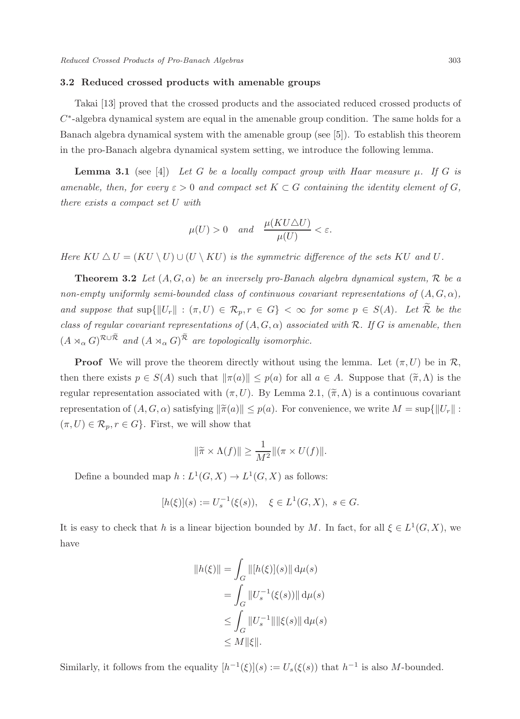#### 3.2 Reduced crossed products with amenable groups

Takai [13] proved that the crossed products and the associated reduced crossed products of  $C^*$ -algebra dynamical system are equal in the amenable group condition. The same holds for a Banach algebra dynamical system with the amenable group (see [5]). To establish this theorem in the pro-Banach algebra dynamical system setting, we introduce the following lemma.

**Lemma 3.1** (see [4]) Let G be a locally compact group with Haar measure  $\mu$ . If G is amenable, then, for every  $\varepsilon > 0$  and compact set  $K \subset G$  containing the identity element of G, there exists a compact set U with

$$
\mu(U) > 0
$$
 and  $\frac{\mu(KU \triangle U)}{\mu(U)} < \varepsilon$ .

Here  $KU \Delta U = (KU \setminus U) \cup (U \setminus KU)$  is the symmetric difference of the sets KU and U.

**Theorem 3.2** Let  $(A, G, \alpha)$  be an inversely pro-Banach algebra dynamical system, R be a non-empty uniformly semi-bounded class of continuous covariant representations of  $(A, G, \alpha)$ , and suppose that  $\sup\{\|U_r\| : (\pi, U) \in \mathcal{R}_p, r \in G\} < \infty$  for some  $p \in S(A)$ . Let  $\widetilde{\mathcal{R}}$  be the class of regular covariant representations of  $(A, G, \alpha)$  associated with R. If G is amenable, then  $(A \rtimes_{\alpha} G)^{\mathcal{R} \cup \widetilde{\mathcal{R}}}$  and  $(A \rtimes_{\alpha} G)^{\widetilde{\mathcal{R}}}$  are topologically isomorphic.

**Proof** We will prove the theorem directly without using the lemma. Let  $(\pi, U)$  be in  $\mathcal{R}$ , then there exists  $p \in S(A)$  such that  $\|\pi(a)\| \leq p(a)$  for all  $a \in A$ . Suppose that  $(\tilde{\pi}, \Lambda)$  is the regular representation associated with  $(\pi, U)$ . By Lemma 2.1,  $(\tilde{\pi}, \Lambda)$  is a continuous covariant representation of  $(A, G, \alpha)$  satisfying  $\|\tilde{\pi}(a)\| \leq p(a)$ . For convenience, we write  $M = \sup\{\|U_r\| :$  $(\pi, U) \in \mathcal{R}_p, r \in G$ . First, we will show that

$$
\|\widetilde{\pi} \times \Lambda(f)\| \ge \frac{1}{M^2} \|(\pi \times U(f)\|).
$$

Define a bounded map  $h: L^1(G,X) \to L^1(G,X)$  as follows:

$$
[h(\xi)](s) := U_s^{-1}(\xi(s)), \quad \xi \in L^1(G, X), \ s \in G.
$$

It is easy to check that h is a linear bijection bounded by M. In fact, for all  $\xi \in L^1(G, X)$ , we have

$$
||h(\xi)|| = \int_G ||[h(\xi)](s)|| d\mu(s)
$$
  
= 
$$
\int_G ||U_s^{-1}(\xi(s))|| d\mu(s)
$$
  

$$
\leq \int_G ||U_s^{-1}|| ||\xi(s)|| d\mu(s)
$$
  

$$
\leq M ||\xi||.
$$

Similarly, it follows from the equality  $[h^{-1}(\xi)](s) := U_s(\xi(s))$  that  $h^{-1}$  is also M-bounded.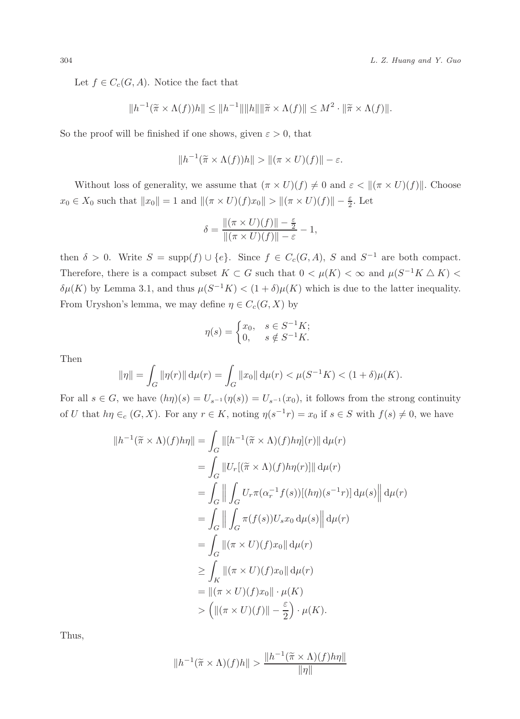Let  $f \in C_c(G, A)$ . Notice the fact that

$$
||h^{-1}(\widetilde{\pi} \times \Lambda(f))h|| \le ||h^{-1}|| ||h|| ||\widetilde{\pi} \times \Lambda(f)|| \le M^2 \cdot ||\widetilde{\pi} \times \Lambda(f)||.
$$

So the proof will be finished if one shows, given  $\varepsilon > 0$ , that

$$
||h^{-1}(\widetilde{\pi} \times \Lambda(f))h|| > ||(\pi \times U)(f)|| - \varepsilon.
$$

Without loss of generality, we assume that  $(\pi \times U)(f) \neq 0$  and  $\varepsilon < ||(\pi \times U)(f)||$ . Choose  $x_0 \in X_0$  such that  $||x_0|| = 1$  and  $||(\pi \times U)(f)x_0|| > ||(\pi \times U)(f)|| - \frac{\varepsilon}{2}$ . Let

$$
\delta = \frac{\|(\pi \times U)(f)\| - \frac{\varepsilon}{2}}{\|(\pi \times U)(f)\| - \varepsilon} - 1,
$$

then  $\delta > 0$ . Write  $S = \text{supp}(f) \cup \{e\}$ . Since  $f \in C_c(G, A)$ , S and  $S^{-1}$  are both compact. Therefore, there is a compact subset  $K \subset G$  such that  $0 < \mu(K) < \infty$  and  $\mu(S^{-1}K \triangle K)$  $\delta\mu(K)$  by Lemma 3.1, and thus  $\mu(S^{-1}K) < (1+\delta)\mu(K)$  which is due to the latter inequality. From Uryshon's lemma, we may define  $\eta \in C_c(G, X)$  by

$$
\eta(s) = \begin{cases} x_0, & s \in S^{-1}K; \\ 0, & s \notin S^{-1}K. \end{cases}
$$

Then

$$
\|\eta\| = \int_G \|\eta(r)\| \, \mathrm{d}\mu(r) = \int_G \|x_0\| \, \mathrm{d}\mu(r) < \mu(S^{-1}K) < (1+\delta)\mu(K).
$$

For all  $s \in G$ , we have  $(h\eta)(s) = U_{s^{-1}}(\eta(s)) = U_{s^{-1}}(x_0)$ , it follows from the strong continuity of U that  $h\eta \in_c (G, X)$ . For any  $r \in K$ , noting  $\eta(s^{-1}r) = x_0$  if  $s \in S$  with  $f(s) \neq 0$ , we have

$$
||h^{-1}(\widetilde{\pi} \times \Lambda)(f)h\eta|| = \int_G ||[h^{-1}(\widetilde{\pi} \times \Lambda)(f)h\eta](r)|| d\mu(r)
$$
  
\n
$$
= \int_G ||U_r[(\widetilde{\pi} \times \Lambda)(f)h\eta(r)]|| d\mu(r)
$$
  
\n
$$
= \int_G ||\int_G U_r \pi(\alpha_r^{-1} f(s))[(h\eta)(s^{-1}r)] d\mu(s)|| d\mu(r)
$$
  
\n
$$
= \int_G ||\int_G \pi(f(s))U_s x_0 d\mu(s)|| d\mu(r)
$$
  
\n
$$
= \int_G ||(\pi \times U)(f)x_0|| d\mu(r)
$$
  
\n
$$
\geq \int_K ||(\pi \times U)(f)x_0|| d\mu(r)
$$
  
\n
$$
= ||(\pi \times U)(f)x_0|| \cdot \mu(K)
$$
  
\n
$$
> (||(\pi \times U)(f)|| - \frac{\varepsilon}{2}) \cdot \mu(K).
$$

Thus,

$$
||h^{-1}(\widetilde{\pi} \times \Lambda)(f)h|| > \frac{||h^{-1}(\widetilde{\pi} \times \Lambda)(f)h\eta||}{||\eta||}
$$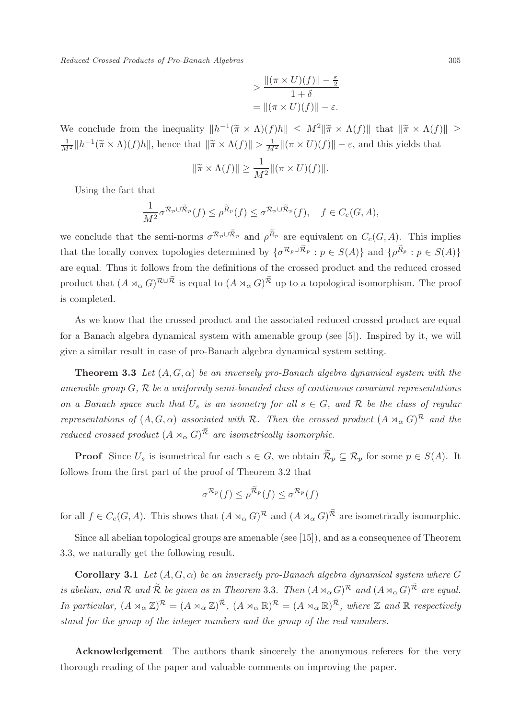Reduced Crossed Products of Pro-Banach Algebras 305

$$
> \frac{\|(\pi \times U)(f)\| - \frac{\varepsilon}{2}}{1 + \delta}
$$
  
= 
$$
\|(\pi \times U)(f)\| - \varepsilon.
$$

We conclude from the inequality  $||h^{-1}(\tilde{\pi} \times \Lambda)(f)h|| \leq M^2 ||\tilde{\pi} \times \Lambda(f)||$  that  $||\tilde{\pi} \times \Lambda(f)|| \geq$  $\frac{1}{M^2} \|h^{-1}(\tilde{\pi} \times \Lambda)(f)h\|$ , hence that  $\|\tilde{\pi} \times \Lambda(f)\| > \frac{1}{M^2} \|(\pi \times U)(f)\| - \varepsilon$ , and this yields that

$$
\|\widetilde{\pi} \times \Lambda(f)\| \ge \frac{1}{M^2} \|(\pi \times U)(f)\|.
$$

Using the fact that

$$
\frac{1}{M^2} \sigma^{\mathcal{R}_p \cup \widetilde{\mathcal{R}}_p}(f) \leq \rho^{\widetilde{R}_p}(f) \leq \sigma^{\mathcal{R}_p \cup \widetilde{\mathcal{R}}_p}(f), \quad f \in C_c(G, A),
$$

we conclude that the semi-norms  $\sigma^{\mathcal{R}_p \cup \tilde{\mathcal{R}}_p}$  and  $\rho^{\tilde{R}_p}$  are equivalent on  $C_c(G, A)$ . This implies that the locally convex topologies determined by  $\{\sigma^{\mathcal{R}_p \cup \tilde{\mathcal{R}}_p} : p \in S(A)\}\$  and  $\{\rho^{\tilde{R}_p} : p \in S(A)\}\$ are equal. Thus it follows from the definitions of the crossed product and the reduced crossed product that  $(A\rtimes_{\alpha}G)^{\mathcal{R}\cup\widetilde{\mathcal{R}}}$  is equal to  $(A\rtimes_{\alpha}G)^{\widetilde{\mathcal{R}}}$  up to a topological isomorphism. The proof is completed.

As we know that the crossed product and the associated reduced crossed product are equal for a Banach algebra dynamical system with amenable group (see [5]). Inspired by it, we will give a similar result in case of pro-Banach algebra dynamical system setting.

**Theorem 3.3** Let  $(A, G, \alpha)$  be an inversely pro-Banach algebra dynamical system with the amenable group  $G, \mathcal{R}$  be a uniformly semi-bounded class of continuous covariant representations on a Banach space such that  $U_s$  is an isometry for all  $s \in G$ , and  $\mathcal R$  be the class of regular representations of  $(A, G, \alpha)$  associated with R. Then the crossed product  $(A \rtimes_{\alpha} G)^{\mathcal{R}}$  and the reduced crossed product  $(A \rtimes_{\alpha} G)^{\widetilde{\mathcal{R}}}$  are isometrically isomorphic.

**Proof** Since  $U_s$  is isometrical for each  $s \in G$ , we obtain  $\widetilde{\mathcal{R}}_p \subseteq \mathcal{R}_p$  for some  $p \in S(A)$ . It follows from the first part of the proof of Theorem 3.2 that

$$
\sigma^{\mathcal{R}_p}(f) \leq \rho^{\widetilde{\mathcal{R}}_p}(f) \leq \sigma^{\mathcal{R}_p}(f)
$$

for all  $f \in C_c(G, A)$ . This shows that  $(A \rtimes_{\alpha} G)^{\mathcal{R}}$  and  $(A \rtimes_{\alpha} G)^{\mathcal{R}}$  are isometrically isomorphic.

Since all abelian topological groups are amenable (see [15]), and as a consequence of Theorem 3.3, we naturally get the following result.

Corollary 3.1 Let  $(A, G, \alpha)$  be an inversely pro-Banach algebra dynamical system where G is abelian, and  $\mathcal R$  and  $\widetilde{\mathcal R}$  be given as in Theorem 3.3. Then  $(A\rtimes_\alpha G)^{\mathcal R}$  and  $(A\rtimes_\alpha G)^{\widetilde{\mathcal R}}$  are equal. In particular,  $(A \rtimes_{\alpha} \mathbb{Z})^{\mathcal{R}} = (A \rtimes_{\alpha} \mathbb{Z})^{\widetilde{\mathcal{R}}}, (A \rtimes_{\alpha} \mathbb{R})^{\mathcal{R}} = (A \rtimes_{\alpha} \mathbb{R})^{\widetilde{\mathcal{R}}}, where \mathbb{Z} and \mathbb{R} respectively$ stand for the group of the integer numbers and the group of the real numbers.

Acknowledgement The authors thank sincerely the anonymous referees for the very thorough reading of the paper and valuable comments on improving the paper.